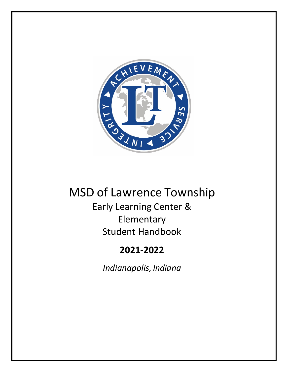

# MSD of Lawrence Township Early Learning Center & Elementary Student Handbook

# **2021-2022**

*Indianapolis, Indiana*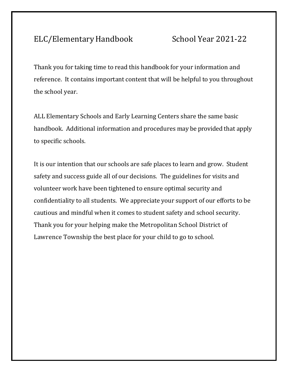# ELC/Elementary Handbook School Year 2021-22

Thank you for taking time to read this handbook for your information and reference. It contains important content that will be helpful to you throughout the school year.

ALL Elementary Schools and Early Learning Centers share the same basic handbook. Additional information and procedures may be provided that apply to specific schools.

It is our intention that our schools are safe places to learn and grow. Student safety and success guide all of our decisions. The guidelines for visits and volunteer work have been tightened to ensure optimal security and confidentiality to all students. We appreciate your support of our efforts to be cautious and mindful when it comes to student safety and school security. Thank you for your helping make the Metropolitan School District of Lawrence Township the best place for your child to go to school.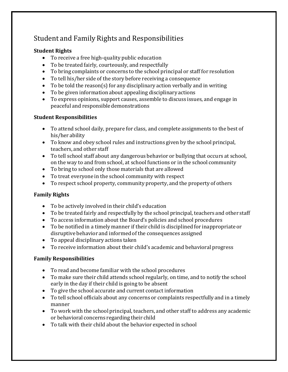# Student and Family Rights and Responsibilities

#### **Student Rights**

- To receive a free high-quality public education
- To be treated fairly, courteously, and respectfully
- To bring complaints or concerns to the school principal or staff for resolution
- To tell his/her side of the story before receiving a consequence
- To be told the reason(s) for any disciplinary action verbally and in writing
- To be given information about appealing disciplinary actions
- To express opinions, support causes, assemble to discuss issues, and engage in peaceful and responsible demonstrations

#### **Student Responsibilities**

- To attend school daily, prepare for class, and complete assignments to the best of his/her ability
- To know and obey school rules and instructions given by the school principal, teachers, and other staff
- To tell school staff about any dangerous behavior or bullying that occurs at school, on the way to and from school, at school functions or in the school community
- To bring to school only those materials that are allowed
- To treat everyone in the school community with respect
- To respect school property, community property, and the property of others

#### **Family Rights**

- To be actively involved in their child's education
- To be treated fairly and respectfully by the school principal, teachers and other staff
- To access information about the Board's policies and school procedures
- To be notified in a timely manner if their child is disciplined for inappropriate or disruptive behavior and informedof the consequences assigned
- To appeal disciplinary actions taken
- To receive information about their child's academic and behavioral progress

#### **Family Responsibilities**

- To read and become familiar with the school procedures
- To make sure their child attends school regularly, on time, and to notify the school early in the day if their child is going to be absent
- To give the school accurate and current contact information
- To tell school officials about any concerns or complaints respectfully and in a timely manner
- To work with the school principal, teachers, and other staff to address any academic or behavioral concerns regarding their child
- To talk with their child about the behavior expected in school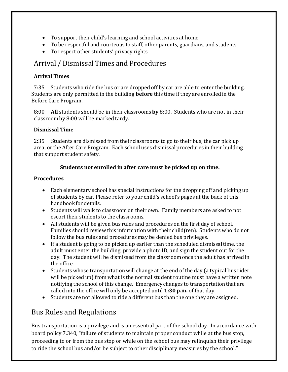- To support their child's learning and school activities at home
- To be respectful and courteous to staff, other parents, guardians, and students
- To respect other students' privacy rights

#### Arrival / DismissalTimes and Procedures

#### **Arrival Times**

7:35 Students who ride the bus or are dropped off by car are able to enter the building. Students are only permitted in the building **before** this time if they are enrolled in the Before Care Program.

8:00 **All** students should be in their classrooms**by** 8:00. Students who are not in their classroomby 8:00 will be marked tardy.

#### **Dismissal Time**

2:35 Students are dismissed from their classrooms to go to their bus, the car pick up area, or the After Care Program. Each school uses dismissal procedures in their building that support student safety.

#### **Students not enrolled in after care must be picked up on time.**

#### **Procedures**

- Each elementary school has special instructions for the dropping off and picking up of students by car. Please refer to your child's school's pages at the back of this handbook for details.
- Students will walk to classroomon their own. Family members are asked to not escort their students to the classrooms.
- All students will be given bus rules and procedures on the first day of school. Families should review this information with their child(ren). Students who do not follow the bus rules and procedures may be denied bus privileges.
- If a student is going to be picked up earlier than the scheduled dismissaltime, the adult must enter the building, provide a photo ID, and sign the student out for the day. The student will be dismissed from the classroomonce the adult has arrivedin the office.
- Students whose transportation will change at the end of the day (a typical bus rider will be picked up) from what is the normal student routine must have a written note notifying the school of this change. Emergency changes to transportation that are called into the office will only be accepted until **1:30 p.m.** of that day.
- Students are not allowed to ride a different bus than the one they are assigned.

# Bus Rules and Regulations

Bus transportation is a privilege and is an essential part of the school day. In accordance with board policy 7.340, "failure of students to maintain proper conduct while at the bus stop, proceeding to or from the bus stop or while on the school bus may relinquish their privilege to ride the school bus and/or be subject to other disciplinary measures by the school."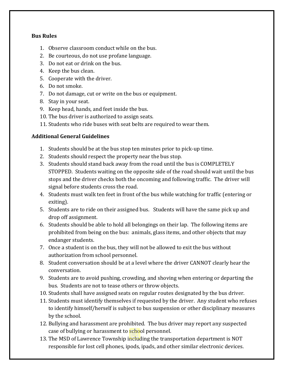#### **Bus Rules**

- 1. Observe classroom conduct while on the bus.
- 2. Be courteous, do not use profane language.
- 3. Do not eat or drink on the bus.
- 4. Keep the bus clean.
- 5. Cooperate with the driver.
- 6. Do not smoke.
- 7. Do not damage, cut or write on the bus or equipment.
- 8. Stay in your seat.
- 9. Keep head, hands, and feet inside the bus.
- 10. The bus driver is authorized to assign seats.
- 11. Students who ride buses with seat belts are required to wear them.

#### **Additional General Guidelines**

- 1. Students should be at the bus stop ten minutes prior to pick-up time.
- 2. Students should respect the property near the bus stop.
- 3. Students should stand back away from the road until the bus is COMPLETELY STOPPED. Students waiting on the opposite side of the road should wait until the bus stops and the driver checks both the oncoming and following traffic. The driver will signal before students cross the road.
- 4. Students must walk ten feet in front of the bus while watching for traffic (entering or exiting).
- 5. Students are to ride on their assigned bus. Students will have the same pick up and drop off assignment.
- 6. Students should be able to hold all belongings on their lap. The following items are prohibited from being on the bus: animals, glass items, and other objects that may endanger students.
- 7. Once a student is on the bus, they will not be allowed to exit the bus without authorization from school personnel.
- 8. Student conversation should be at a level where the driver CANNOT clearly hear the conversation.
- 9. Students are to avoid pushing, crowding, and shoving when entering or departing the bus. Students are not to tease others or throw objects.
- 10. Students shall have assigned seats on regular routes designated by the bus driver.
- 11. Students must identify themselves if requested by the driver. Any student who refuses to identify himself/herself is subject to bus suspension or other disciplinary measures by the school.
- 12. Bullying and harassment are prohibited. The bus driver may report any suspected case of bullying or harassment to school personnel.
- 13. The MSD of Lawrence Township including the transportation department is NOT responsible for lost cell phones, ipods, ipads, and other similar electronic devices.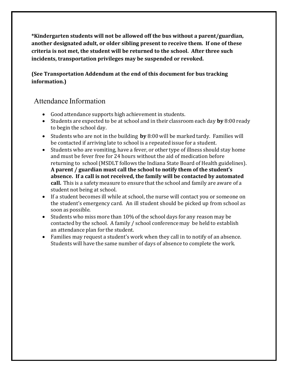**\*Kindergarten students will not be allowed off the bus without a parent/guardian, another designated adult, or older sibling present to receive them. If one of these criteria is not met, the student will be returned to the school. After three such incidents, transportation privileges may be suspended or revoked.**

#### **(See Transportation Addendum at the end of this document for bus tracking information.)**

#### Attendance Information

- Good attendance supports high achievement in students.
- Students are expected to be at school and in their classroom each day **by** 8:00 ready to begin the school day.
- Students who are not in the building **by** 8:00 will be marked tardy. Families will be contacted if arriving late to school is a repeated issue for a student.
- Students who are vomiting, have a fever, or other type of illness should stay home and must be fever free for 24 hours without the aid of medication before returning to school(MSDLT follows the Indiana State Board of Health guidelines). **A parent / guardian must call the school to notify them of the student's absence. If a call is not received, the family will be contacted by automated call.** This is a safety measure to ensure that the school and family are aware of a student not being at school.
- If a student becomes ill while at school, the nurse will contact you or someone on the student's emergency card. An ill student should be picked up from school as soon as possible.
- Students who miss more than 10% of the school days for any reason may be contacted by the school. A family / school conferencemay be held to establish an attendance plan for the student.
- Families may request a student's work when they call in to notify of an absence. Students will have the same number of days of absence to complete the work.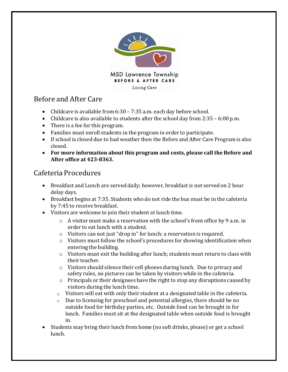

# Before and After Care

- Childcare is available from 6:30 7:35 a.m. each day before school.
- Childcare is also available to students after the school day from 2:35 6:00 p.m.
- There is a fee for this program.
- Families must enroll students in the program in order to participate.
- If school is closed due to bad weather then the Before and After Care Program is also closed.
- **For more information about this program and costs, please call the Before and After office at 423-8363.**

## Cafeteria Procedures

- Breakfast and Lunch are served daily; however, breakfast is not served on 2 hour delay days.
- Breakfast begins at 7:35. Students who do not ride the bus must be in the cafeteria by 7:45 to receive breakfast.
- Visitors are welcome to join their student at lunch time.
	- $\circ$  A visitor must make a reservation with the school's front office by 9 a.m. in order to eat lunch with a student.
	- o Visitors can not just "drop in" for lunch; a reservation is required.
	- o Visitors must follow the school's procedures for showing identification when entering the building.
	- o Visitors must exit the building after lunch; students must return to class with their teacher.
	- o Visitors should silence their cell phones during lunch. Due to privacy and safety rules, no pictures can be taken by visitors while in the cafeteria.
	- $\circ$  Principals or their designees have the right to stop any disruptions caused by visitors during the lunch time.
	- $\circ$  Visitors will eat with only their student at a designated table in the cafeteria.
	- $\circ$  Due to licensing for preschool and potential allergies, there should be no outside food for birthday parties, etc. Outside food can be brought in for lunch. Families must sit at the designated table when outside food is brought in.
- Students may bring their lunch from home (no soft drinks, please) or get a school lunch.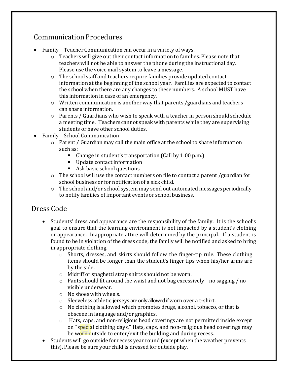# Communication Procedures

- Family Teacher Communication can occur in a variety of ways.
	- $\circ$  Teachers will give out their contact information to families. Please note that teacherswill not be able to answer the phone during the instructional day. Please use the voice mail system to leave a message.
	- o The school staff and teachers require families provide updated contact information at the beginning of the school year. Families are expected to contact the school when there are any changes to these numbers. A school MUST have this information in case of an emergency.
	- $\circ$  Written communication is another way that parents /guardians and teachers can share information.
	- o Parents / Guardians who wish to speak with a teacher in person should schedule a meeting time. Teachers cannot speak with parents while they are supervising students or have other school duties.
- Family School Communication
	- o Parent / Guardian may call the main office at the school to share information such as:
		- Change in student's transportation (Call by 1:00 p.m.)
		- Update contact information
		- Ask basic school questions
	- o The school will use the contact numbers on file to contact a parent /guardian for school business or for notification of a sick child.
	- o The school and/or school system may send out automated messages periodically to notify families of important events or school business.

### Dress Code

- Students' dress and appearance are the responsibility of the family. It is the school's goal to ensure that the learning environment is not impacted by a student's clothing or appearance. Inappropriate attire will determined by the principal. If a student is found to be in violation of the dress code, the family will be notified and asked to bring in appropriate clothing.
	- $\circ$  Shorts, dresses, and skirts should follow the finger-tip rule. These clothing items should be longer than the student's finger tips when his/her arms are by the side.
	- o Midriff or spaghetti strap shirts should not be worn.
	- o Pants should fit around the waist and not bag excessively no sagging / no visible underwear.
	- o No shoes with wheels.
	- o Sleeveless athletic jerseys are only allowed if worn over a t-shirt.
	- $\circ$  No clothing is allowed which promotes drugs, alcohol, tobacco, or that is obscene in language and/or graphics.
	- o Hats, caps, and non-religious head coverings are not permitted inside except on "special clothing days." Hats, caps, and non-religious head coverings may be worn outside to enter/exit the building and during recess.
- Students will go outside for recess year round (except when the weather prevents this). Please be sure your child is dressed for outside play.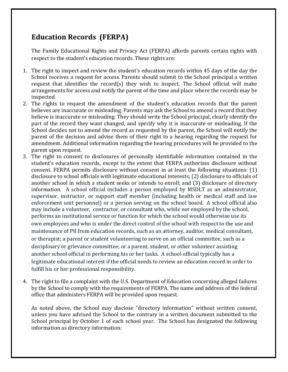# **Education Records (FERPA)**

The Family Educational Rights and Privacy Act (FERPA) affords parents certain rights with respect to the student's education records. These rights are:

- 1. The right to inspect and review the student's education records within 45 days of the day the School receives a request for access. Parents should submit to the School principal a written request that identifies the record(s) they wish to inspect. The School official will make arrangements for access and notify the parent of the time and place where the records may be inspected.
- 2. The rights to request the amendment of the student's education records that the parent believes are inaccurate or misleading. Parents may ask the School to amend a record that they believe is inaccurate or misleading. They should write the School principal, clearly identify the part of the record they want changed, and specify why it is inaccurate or misleading. If the School decides not to amend the record as requested by the parent, the School will notify the parent of the decision and advise them of their right to a hearing regarding the request for amendment. Additional information regarding the hearing procedures will be provided to the parent upon request.
- 3. The right to consent to disclosures of personally identifiable information contained in the student's education records, except to the extent that FERPA authorizes disclosure without consent. FERPA permits disclosure without consent in at least the following situations: (1) disclosure to school officials with legitimate educational interests; (2) disclosure to officials of another school in which a student seeks or intends to enroll; and (3) disclosure of directory information. A school official includes a person employed by MSDLT as an administrator, supervisor, instructor, or support staff member (including health or medical staff and law enforcement unit personnel) or a person serving on the school board. A school official also may include a volunteer, contractor, or consultant who, while not employed by the school, performs an institutional service or function for which the school would otherwise use its own employees and who is under the direct control of the school with respect to the use and maintenance of PII from education records, such as an attorney, auditor, medical consultant, or therapist; a parent or student volunteering to serve on an official committee, such as a disciplinary or grievance committee; or a parent, student, or other volunteer assisting another school official in performing his or her tasks. A school official typically has a legitimate educational interest if the official needs to review an education record in order to fulfill his or her professional responsibility.
- 4. The right to file a complaint with the U.S. Department of Education concerning alleged failures by the School to comply with the requirements of FERPA. The name and address of the federal office that administers FERPA will be provided upon request.

As noted above, the School may disclose "directory information" without written consent, unless you have advised the School to the contrary in a written document submitted to the School principal by October 1 of each school year. The School has designated the following information as directory information: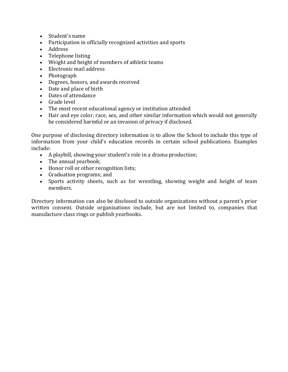- Student's name
- Participation in officially recognized activities and sports
- Address
- Telephone listing
- Weight and height of members of athletic teams
- Electronic mail address
- Photograph
- Degrees, honors, and awards received
- Date and place of birth
- Dates of attendance
- Grade level
- The most recent educational agency or institution attended
- Hair and eye color, race, sex, and other similar information which would not generally be considered harmful or an invasion of privacy if disclosed.

One purpose of disclosing directory information is to allow the School to include this type of information from your child's education records in certain school publications. Examples include:

- A playbill, showing your student's role in a drama production;
- The annual yearbook;
- Honor roll or other recognition lists;
- Graduation programs; and<br>• Sports activity sheets, sue
- Sports activity sheets, such as for wrestling, showing weight and height of team members.

Directory information can also be disclosed to outside organizations without a parent's prior written consent. Outside organizations include, but are not limited to, companies that manufacture class rings or publish yearbooks.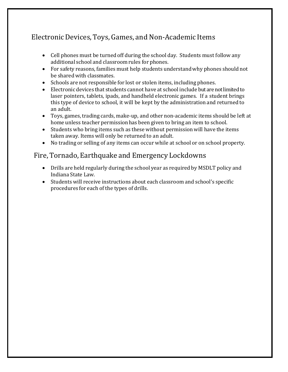# ElectronicDevices,Toys, Games, and Non-Academic Items

- Cell phones must be turned off during the school day. Students must follow any additional school and classroomrules for phones.
- For safety reasons, families must help students understandwhy phones should not be shared with classmates.
- Schools are not responsible for lost or stolen items, including phones.
- Electronic devices that students cannot have at school include but are not limited to laser pointers, tablets, ipads, and handheld electronic games. If a student brings this type of device to school, it will be kept by the administration and returned to an adult.
- Toys, games, trading cards, make-up, and other non-academic items should be left at home unless teacher permissionhas been given to bring an item to school.
- Students who bring items such as these without permission will have the items taken away. Items will only be returned to an adult.
- No trading or selling of any items can occur while at school or on school property.

#### Fire, Tornado,Earthquake and Emergency Lockdowns

- Drills are held regularly during the school year as required by MSDLT policy and Indiana State Law.
- Students will receive instructions about each classroom and school's specific procedures for each of the types of drills.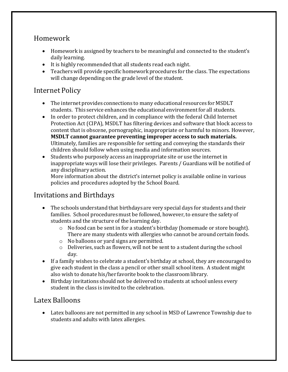## Homework

- Homework is assigned by teachers to be meaningful and connected to the student's daily learning.
- It is highly recommended that all students read each night.
- Teachers will provide specific homework procedures for the class. The expectations will change depending on the grade level of the student.

## Internet Policy

- The internet provides connections to many educational resources for MSDLT students. This service enhances the educational environmentfor all students.
- In order to protect children, and in compliance with the federal Child Internet Protection Act (CIPA), MSDLT has filtering devices and software that block access to content that is obscene, pornographic, inappropriate or harmful to minors. However, **MSDLT cannot guarantee preventing improper access to such materials.** Ultimately, families are responsible for setting and conveying the standards their children should follow when using media and information sources.
- Students who purposely access an inappropriate site or use the internet in inappropriateways will lose their privileges. Parents / Guardians will be notified of any disciplinary action.

More information about the district's internet policy is available online in various policies and procedures adopted by the School Board.

### Invitations and Birthdays

- The schools understand that birthdays are very special days for students and their families. School procedures must be followed, however, to ensure the safety of students and the structure of the learning day.
	- o No food can be sent in for a student's birthday (homemade or store bought). There are many students with allergies who cannot be around certain foods.
	- o No balloons or yard signs are permitted.
	- o Deliveries, such as flowers, will not be sent to a student during the school day.
- If a family wishes to celebrate a student's birthday at school, they are encouraged to give each student in the class a pencil or other small school item. A student might also wish to donate his/her favorite book to the classroomlibrary.
- Birthday invitations should not be delivered to students at school unless every student in the class is invited to the celebration.

### Latex Balloons

• Latex balloons are not permitted in any school in MSD of Lawrence Township due to students and adults with latex allergies.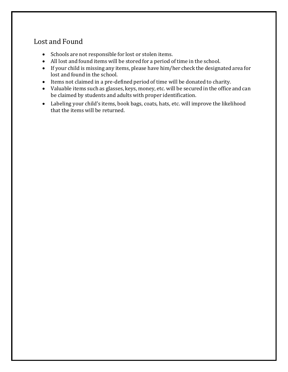#### Lost and Found

- Schools are not responsible for lost or stolen items.
- All lost and found items will be stored for a period of time in the school.
- If your child is missing any items, please have him/her check the designated area for lost and found in the school.
- Items not claimed in a pre-defined period of time will be donated to charity.
- Valuable items such as glasses, keys, money, etc. will be secured in the office and can be claimed by students and adults with proper identification.
- Labeling your child's items, book bags, coats, hats, etc. will improve the likelihood that the items will be returned.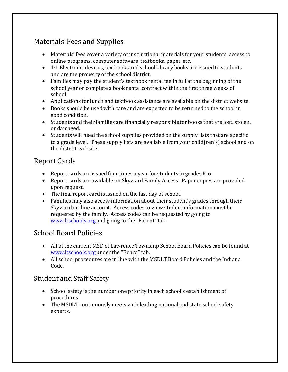# Materials'Fees and Supplies

- Materials' fees cover a variety of instructional materials for your students, access to online programs, computer software, textbooks, paper, etc.
- 1:1 Electronic devices, textbooks and school library books are issued to students and are the property of the school district.
- Families may pay the student's textbook rental fee in full at the beginning of the school year or complete a book rental contract within the first three weeks of school.
- Applications for lunch and textbook assistance are available on the district website.
- Books should be used with care and are expected to be returned to the school in good condition.
- Students and their families are financially responsible for books that are lost, stolen, or damaged.
- Students will need the school supplies provided on the supply lists that are specific to a grade level. These supply lists are available from your child(ren's) school and on the district website.

# Report Cards

- Report cards are issued four times a year for students in grades K-6.
- Report cards are available on Skyward Family Access. Paper copies are provided upon request.
- The final report card is issued on the last day of school.
- Families may also access information about their student's grades through their Skyward on-line account. Access codes to view student information must be requested by the family. Access codes can be requested by going to [www.ltschools.org](http://www.ltschools.org/) and going to the "Parent" tab.

#### School Board Policies

- All of the current MSD of Lawrence Township School Board Policies can be found at www.ltschools.org under the "Board" tab.
- All school procedures are in line with the MSDLT Board Policies and the Indiana Code.

### Student and Staff Safety

- School safety is the number one priority in each school's establishment of procedures.
- The MSDLT continuously meets with leading national and state school safety experts.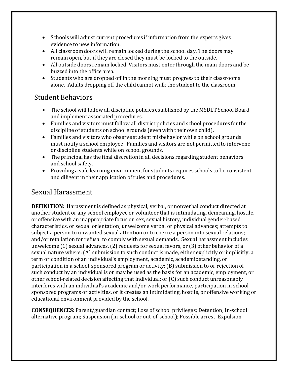- Schools will adjust current procedures if information from the experts gives evidence to new information.
- All classroom doors will remain locked during the school day. The doors may remain open, but if they are closed they must be locked to the outside.
- All outside doors remain locked. Visitors must enter through the main doors and be buzzed into the office area.
- Students who are dropped off in the morning must progress to their classrooms alone. Adults dropping off the child cannot walk the student to the classroom.

### Student Behaviors

- The school will follow all discipline policies established by the MSDLT School Board and implement associated procedures.
- Families and visitors must follow all district policies and school procedures for the discipline of students on school grounds (even with their own child).
- Families and visitors who observe student misbehavior while on school grounds must notify a school employee. Families and visitors are not permitted to intervene or discipline students while on school grounds.
- The principal has the final discretion in all decisions regarding student behaviors and school safety.
- Providing a safe learning environment for students requires schools to be consistent and diligent in their application of rules and procedures.

### Sexual Harassment

**DEFINITION:** Harassment is defined as physical, verbal, or nonverbal conduct directed at another student or any school employee or volunteer that is intimidating, demeaning, hostile, or offensive with an inappropriate focus on sex, sexual history, individual gender-based characteristics, or sexual orientation; unwelcome verbal or physical advances; attempts to subject a person to unwanted sexual attention or to coerce a person into sexual relations; and/or retaliation for refusal to comply with sexual demands. Sexual harassment includes unwelcome (1) sexual advances, (2) requests for sexual favors, or (3) other behavior of a sexual nature where: (A) submission to such conduct is made, either explicitly or implicitly, a term or condition of an individual's employment, academic, academic standing, or participation in a school-sponsored program or activity; (B) submission to or rejection of such conduct by an individual is or may be used as the basis for an academic, employment, or other school-related decision affecting that individual; or (C) such conduct unreasonably interferes with an individual's academic and/or work performance, participation in schoolsponsored programs or activities, or it creates an intimidating, hostile, or offensive working or educational environment provided by the school.

**CONSEQUENCES:** Parent/guardian contact; Loss of school privileges; Detention; In-school alternative program; Suspension (in-school or out-of-school); Possible arrest; Expulsion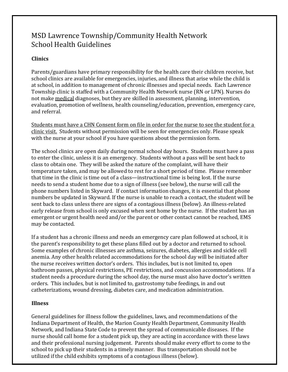### MSD Lawrence Township/Community Health Network School Health Guidelines

#### **Clinics**

Parents/guardians have primary responsibility for the health care their children receive, but school clinics are available for emergencies, injuries, and illness that arise while the child is at school, in addition to management of chronic illnesses and special needs. Each Lawrence Township clinic is staffed with a Community Health Network nurse (RN or LPN). Nurses do not make medical diagnoses, but they are skilled in assessment, planning, intervention, evaluation, promotion of wellness, health counseling/education, prevention, emergency care, and referral.

Students must have a CHN Consent form on file in order for the nurse to see the student for a clinic visit. Students without permission will be seen for emergencies only. Please speak with the nurse at your school if you have questions about the permission form.

The school clinics are open daily during normal school day hours. Students must have a pass to enter the clinic, unless it is an emergency. Students without a pass will be sent back to class to obtain one. They will be asked the nature of the complaint, will have their temperature taken, and may be allowed to rest for a short period of time. Please remember that time in the clinic is time out of a class—instructional time is being lost. If the nurse needs to send a student home due to a sign of illness (see below), the nurse will call the phone numbers listed in Skyward. If contact information changes, it is essential that phone numbers be updated in Skyward. If the nurse is unable to reach a contact, the student will be sent back to class unless there are signs of a contagious illness (below). An illness-related early release from school is only excused when sent home by the nurse. If the student has an emergent or urgent health need and/or the parent or other contact cannot be reached, EMS may be contacted.

If a student has a chronic illness and needs an emergency care plan followed at school, it is the parent's responsibility to get these plans filled out by a doctor and returned to school. Some examples of chronic illnesses are asthma, seizures, diabetes, allergies and sickle cell anemia. Any other health related accommodations for the school day will be initiated after the nurse receives written doctor's orders. This includes, but is not limited to, open bathroom passes, physical restrictions, PE restrictions, and concussion accommodations. If a student needs a procedure during the school day, the nurse must also have doctor's written orders. This includes, but is not limited to, gastrostomy tube feedings, in and out catheterizations, wound dressing, diabetes care, and medication administration.

#### **Illness**

General guidelines for illness follow the guidelines, laws, and recommendations of the Indiana Department of Health, the Marion County Health Department, Community Health Network, and Indiana State Code to prevent the spread of communicable diseases. If the nurse should call home for a student pick up, they are acting in accordance with these laws and their professional nursing judgement. Parents should make every effort to come to the school to pick up their students in a timely manner. Bus transportation should not be utilized if the child exhibits symptoms of a contagious illness (below).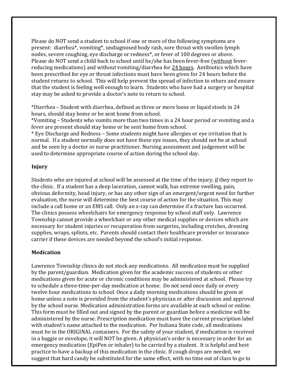Please do NOT send a student to school if one or more of the following symptoms are present: diarrhea\*, vomiting\*, undiagnosed body rash, sore throat with swollen lymph nodes, severe coughing, eye discharge or redness\*, or fever of 100 degrees or above. Please do NOT send a child back to school until he/she has been fever-free (without feverreducing medications) and without vomiting/diarrhea for 24 hours. Antibiotics which have been prescribed for eye or throat infections must have been given for 24 hours before the student returns to school. This will help prevent the spread of infection to others and ensure that the student is feeling well enough to learn. Students who have had a surgery or hospital stay may be asked to provide a doctor's note to return to school.

\*Diarrhea – Student with diarrhea, defined as three or more loose or liquid stools in 24 hours, should stay home or be sent home from school.

\*Vomiting – Students who vomits more than two times in a 24 hour period or vomiting and a fever are present should stay home or be sent home from school.

\* Eye Discharge and Redness – Some students might have allergies or eye irritation that is normal. If a student normally does not have these eye issues, they should not be at school and be seen by a doctor or nurse practitioner. Nursing assessment and judgement will be used to determine appropriate course of action during the school day.

#### **Injury**

Students who are injured at school will be assessed at the time of the injury, if they report to the clinic. If a student has a deep laceration, cannot walk, has extreme swelling, pain, obvious deformity, head injury, or has any other sign of an emergent/urgent need for further evaluation, the nurse will determine the best course of action for the situation. This may include a call home or an EMS call. Only an x-ray can determine if a fracture has occurred. The clinics possess wheelchairs for emergency response by school staff only. Lawrence Township cannot provide a wheelchair or any other medical supplies or devices which are necessary for student injuries or recuperation from surgeries, including crutches, dressing supplies, wraps, splints, etc. Parents should contact their healthcare provider or insurance carrier if these devices are needed beyond the school's initial response.

#### **Medication**

Lawrence Township clinics do not stock any medications. All medication must be supplied by the parent/guardian. Medication given for the academic success of students or other medications given for acute or chronic conditions may be administered at school. Please try to schedule a three-time-per-day medication at home. Do not send once daily or every twelve hour medications to school. Once a daily morning medications should be given at home unless a note is provided from the student's physician or after discussion and approval by the school nurse. Medication administration forms are available at each school or online. This form must be filled out and signed by the parent or guardian before a medicine will be administered by the nurse. Prescription medication must have the current prescription label with student's name attached to the medication. Per Indiana State code, all medications must be in the ORIGINAL containers. For the safety of your student, if medication is received in a baggie or envelope, it will NOT be given. A physician's order is necessary in order for an emergency medication (EpiPen or inhaler) to be carried by a student. It is helpful and best practice to have a backup of this medication in the clinic. If cough drops are needed, we suggest that hard candy be substituted for the same effect, with no time out of class to go to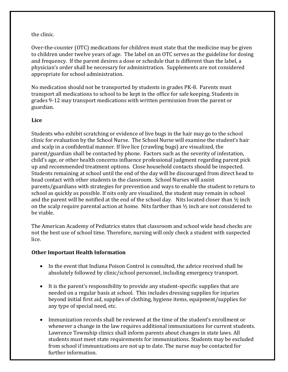#### the clinic.

Over-the-counter (OTC) medications for children must state that the medicine may be given to children under twelve years of age. The label on an OTC serves as the guideline for dosing and frequency. If the parent desires a dose or schedule that is different than the label, a physician's order shall be necessary for administration. Supplements are not considered appropriate for school administration.

No medication should not be transported by students in grades PK-8. Parents must transport all medications to school to be kept in the office for safe keeping. Students in grades 9-12 may transport medications with written permission from the parent or guardian.

#### **Lice**

Students who exhibit scratching or evidence of live bugs in the hair may go to the school clinic for evaluation by the School Nurse. The School Nurse will examine the student's hair and scalp in a confidential manner. If live lice (crawling bugs) are visualized, the parent/guardian shall be contacted by phone. Factors such as the severity of infestation, child's age, or other health concerns influence professional judgment regarding parent pick up and recommended treatment options. Close household contacts should be inspected. Students remaining at school until the end of the day will be discouraged from direct head to head contact with other students in the classroom. School Nurses will assist parents/guardians with strategies for prevention and ways to enable the student to return to school as quickly as possible. If nits only are visualized, the student may remain in school and the parent will be notified at the end of the school day. Nits located closer than  $\frac{1}{2}$  inch on the scalp require parental action at home. Nits farther than  $\frac{1}{2}$  inch are not considered to be viable.

The American Academy of Pediatrics states that classroom and school wide head checks are not the best use of school time. Therefore, nursing will only check a student with suspected lice.

#### **Other Important Health Information**

- In the event that Indiana Poison Control is consulted, the advice received shall be absolutely followed by clinic/school personnel, including emergency transport.
- It is the parent's responsibility to provide any student-specific supplies that are needed on a regular basis at school. This includes dressing supplies for injuries beyond initial first aid, supplies of clothing, hygiene items, equipment/supplies for any type of special need, etc.
- Immunization records shall be reviewed at the time of the student's enrollment or whenever a change in the law requires additional immunizations for current students. Lawrence Township clinics shall inform parents about changes in state laws. All students must meet state requirements for immunizations. Students may be excluded from school if immunizations are not up to date. The nurse may be contacted for further information.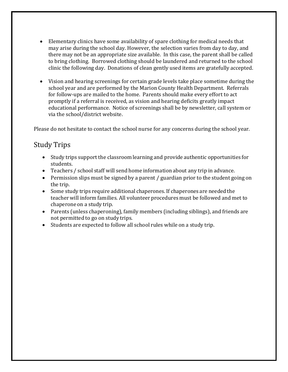- Elementary clinics have some availability of spare clothing for medical needs that may arise during the school day. However, the selection varies from day to day, and there may not be an appropriate size available. In this case, the parent shall be called to bring clothing. Borrowed clothing should be laundered and returned to the school clinic the following day. Donations of clean gently used items are gratefully accepted.
- Vision and hearing screenings for certain grade levels take place sometime during the school year and are performed by the Marion County Health Department. Referrals for follow-ups are mailed to the home. Parents should make every effort to act promptly if a referral is received, as vision and hearing deficits greatly impact educational performance. Notice of screenings shall be by newsletter, call system or via the school/district website.

Please do not hesitate to contact the school nurse for any concerns during the school year.

# Study Trips

- Study trips support the classroomlearning and provide authentic opportunities for students.
- Teachers / school staff will send home information about any trip in advance.
- Permission slips must be signed by a parent / guardian prior to the student going on the trip.
- Some study trips require additional chaperones. If chaperones are needed the teacher will inform families. All volunteer procedures must be followed and met to chaperone on a study trip.
- Parents (unless chaperoning), family members (including siblings), and friends are not permitted to go on study trips.
- Students are expected to follow all school rules while on a study trip.